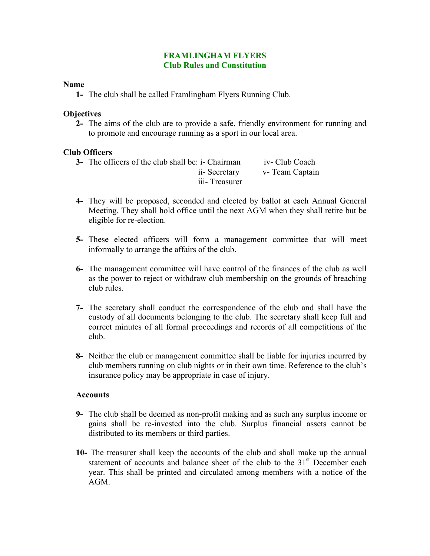## **FRAMLINGHAM FLYERS Club Rules and Constitution**

#### **Name**

**1-** The club shall be called Framlingham Flyers Running Club.

## **Objectives**

**2-** The aims of the club are to provide a safe, friendly environment for running and to promote and encourage running as a sport in our local area.

## **Club Officers**

| <b>3-</b> The officers of the club shall be: i- Chairman | iv- Club Coach  |
|----------------------------------------------------------|-----------------|
| ii- Secretary                                            | v- Team Captain |
| iii-Treasurer                                            |                 |

- **4-** They will be proposed, seconded and elected by ballot at each Annual General Meeting. They shall hold office until the next AGM when they shall retire but be eligible for re-election.
- **5-** These elected officers will form a management committee that will meet informally to arrange the affairs of the club.
- **6-** The management committee will have control of the finances of the club as well as the power to reject or withdraw club membership on the grounds of breaching club rules.
- **7-** The secretary shall conduct the correspondence of the club and shall have the custody of all documents belonging to the club. The secretary shall keep full and correct minutes of all formal proceedings and records of all competitions of the club.
- **8-** Neither the club or management committee shall be liable for injuries incurred by club members running on club nights or in their own time. Reference to the club's insurance policy may be appropriate in case of injury.

## **Accounts**

- **9-** The club shall be deemed as non-profit making and as such any surplus income or gains shall be re-invested into the club. Surplus financial assets cannot be distributed to its members or third parties.
- **10-** The treasurer shall keep the accounts of the club and shall make up the annual statement of accounts and balance sheet of the club to the  $31<sup>st</sup>$  December each year. This shall be printed and circulated among members with a notice of the AGM.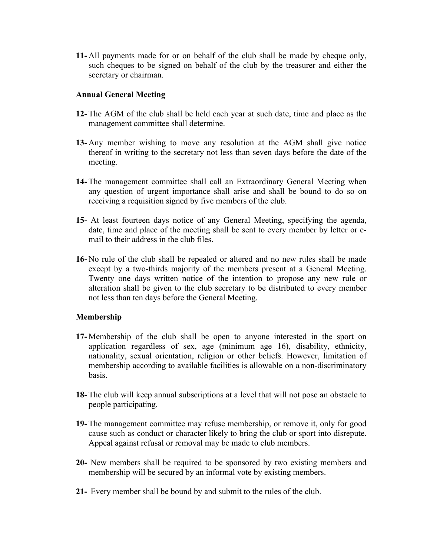**11-** All payments made for or on behalf of the club shall be made by cheque only, such cheques to be signed on behalf of the club by the treasurer and either the secretary or chairman.

# **Annual General Meeting**

- **12-** The AGM of the club shall be held each year at such date, time and place as the management committee shall determine.
- **13-** Any member wishing to move any resolution at the AGM shall give notice thereof in writing to the secretary not less than seven days before the date of the meeting.
- **14-** The management committee shall call an Extraordinary General Meeting when any question of urgent importance shall arise and shall be bound to do so on receiving a requisition signed by five members of the club.
- **15-** At least fourteen days notice of any General Meeting, specifying the agenda, date, time and place of the meeting shall be sent to every member by letter or email to their address in the club files.
- **16-** No rule of the club shall be repealed or altered and no new rules shall be made except by a two-thirds majority of the members present at a General Meeting. Twenty one days written notice of the intention to propose any new rule or alteration shall be given to the club secretary to be distributed to every member not less than ten days before the General Meeting.

# **Membership**

- **17-** Membership of the club shall be open to anyone interested in the sport on application regardless of sex, age (minimum age 16), disability, ethnicity, nationality, sexual orientation, religion or other beliefs. However, limitation of membership according to available facilities is allowable on a non-discriminatory basis.
- **18-** The club will keep annual subscriptions at a level that will not pose an obstacle to people participating.
- **19-** The management committee may refuse membership, or remove it, only for good cause such as conduct or character likely to bring the club or sport into disrepute. Appeal against refusal or removal may be made to club members.
- **20-** New members shall be required to be sponsored by two existing members and membership will be secured by an informal vote by existing members.
- **21-** Every member shall be bound by and submit to the rules of the club.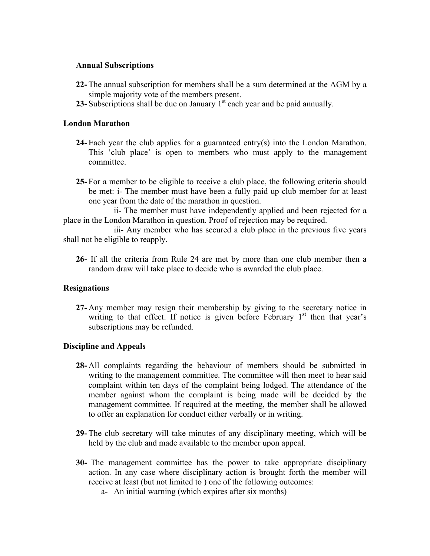## **Annual Subscriptions**

- **22-** The annual subscription for members shall be a sum determined at the AGM by a simple majority vote of the members present.
- **23-** Subscriptions shall be due on January 1<sup>st</sup> each year and be paid annually.

## **London Marathon**

- **24-** Each year the club applies for a guaranteed entry(s) into the London Marathon. This 'club place' is open to members who must apply to the management committee.
- **25-** For a member to be eligible to receive a club place, the following criteria should be met: i- The member must have been a fully paid up club member for at least one year from the date of the marathon in question.

 ii- The member must have independently applied and been rejected for a place in the London Marathon in question. Proof of rejection may be required.

 iii- Any member who has secured a club place in the previous five years shall not be eligible to reapply.

**26-** If all the criteria from Rule 24 are met by more than one club member then a random draw will take place to decide who is awarded the club place.

## **Resignations**

**27-** Any member may resign their membership by giving to the secretary notice in writing to that effect. If notice is given before February  $1<sup>st</sup>$  then that year's subscriptions may be refunded.

## **Discipline and Appeals**

- **28-** All complaints regarding the behaviour of members should be submitted in writing to the management committee. The committee will then meet to hear said complaint within ten days of the complaint being lodged. The attendance of the member against whom the complaint is being made will be decided by the management committee. If required at the meeting, the member shall be allowed to offer an explanation for conduct either verbally or in writing.
- **29-** The club secretary will take minutes of any disciplinary meeting, which will be held by the club and made available to the member upon appeal.
- **30-** The management committee has the power to take appropriate disciplinary action. In any case where disciplinary action is brought forth the member will receive at least (but not limited to ) one of the following outcomes:
	- a- An initial warning (which expires after six months)